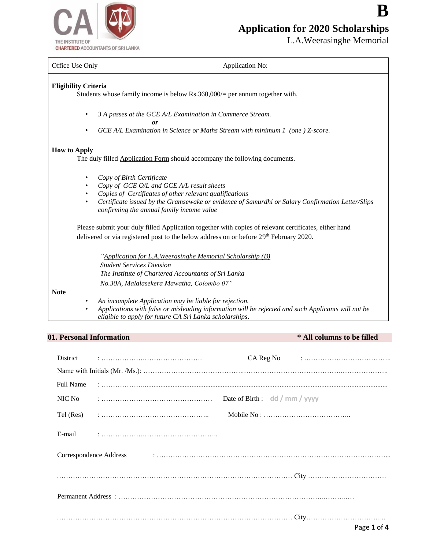

# **Application for 2020 Scholarships**

L.A.Weerasinghe Memorial

**B** 

| Office Use Only                                                                                                                                                                                                                                                                                 | Application No:                                                                                    |  |  |  |
|-------------------------------------------------------------------------------------------------------------------------------------------------------------------------------------------------------------------------------------------------------------------------------------------------|----------------------------------------------------------------------------------------------------|--|--|--|
| <b>Eligibility Criteria</b><br>Students whose family income is below $Rs.360,000/=$ per annum together with,                                                                                                                                                                                    |                                                                                                    |  |  |  |
| 3 A passes at the GCE A/L Examination in Commerce Stream.<br>$\bullet$<br>GCE A/L Examination in Science or Maths Stream with minimum 1 (one ) Z-score.<br>٠                                                                                                                                    |                                                                                                    |  |  |  |
| <b>How to Apply</b><br>The duly filled Application Form should accompany the following documents.                                                                                                                                                                                               |                                                                                                    |  |  |  |
| Copy of Birth Certificate<br>Copy of GCE O/L and GCE A/L result sheets<br>Copies of Certificates of other relevant qualifications<br>Certificate issued by the Gramsewake or evidence of Samurdhi or Salary Confirmation Letter/Slips<br>$\bullet$<br>confirming the annual family income value |                                                                                                    |  |  |  |
| Please submit your duly filled Application together with copies of relevant certificates, either hand<br>delivered or via registered post to the below address on or before 29th February 2020.                                                                                                 |                                                                                                    |  |  |  |
| "Application for L.A. Weerasinghe Memorial Scholarship (B)<br><b>Student Services Division</b><br>The Institute of Chartered Accountants of Sri Lanka<br>No.30A, Malalasekera Mawatha, Colombo 07"                                                                                              |                                                                                                    |  |  |  |
| <b>Note</b><br>An incomplete Application may be liable for rejection.<br>eligible to apply for future CA Sri Lanka scholarships.                                                                                                                                                                | Applications with false or misleading information will be rejected and such Applicants will not be |  |  |  |

# **01. Personal Information \* All columns to be filled**

| District         |                                                                                                                                                                                                                               |                                          |                                                                                      |
|------------------|-------------------------------------------------------------------------------------------------------------------------------------------------------------------------------------------------------------------------------|------------------------------------------|--------------------------------------------------------------------------------------|
|                  |                                                                                                                                                                                                                               |                                          |                                                                                      |
| <b>Full Name</b> |                                                                                                                                                                                                                               |                                          |                                                                                      |
| NIC No           |                                                                                                                                                                                                                               | Date of Birth : $\frac{d}{dx}$ mm / yyyy |                                                                                      |
|                  |                                                                                                                                                                                                                               |                                          | Mobile No: $\dots \dots \dots \dots \dots \dots \dots \dots \dots \dots \dots \dots$ |
|                  |                                                                                                                                                                                                                               |                                          |                                                                                      |
|                  | Correspondence Address in continuous contraction of the correspondence Address in the correspondence Address in the contract of the contract of the correspondence Address in the contract of the contract of the contract of |                                          |                                                                                      |
|                  |                                                                                                                                                                                                                               |                                          |                                                                                      |
|                  |                                                                                                                                                                                                                               |                                          |                                                                                      |
|                  |                                                                                                                                                                                                                               |                                          | Page 1 of 4                                                                          |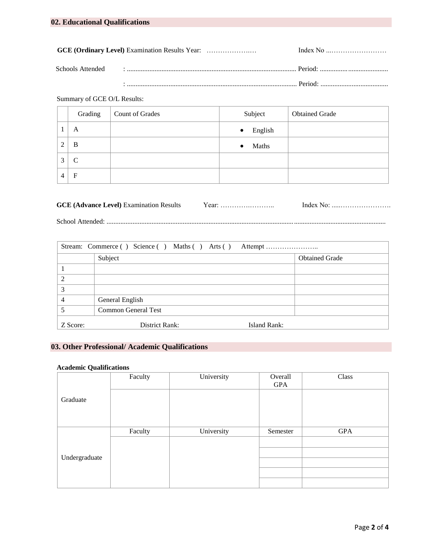# Summary of GCE O/L Results:

|   | Grading       | Count of Grades | Subject              | <b>Obtained Grade</b> |
|---|---------------|-----------------|----------------------|-----------------------|
|   | A             |                 | English<br>$\bullet$ |                       |
| ◠ | B             |                 | Maths<br>$\bullet$   |                       |
| 3 | $\mathcal{C}$ |                 |                      |                       |
| 4 | $\mathbf F$   |                 |                      |                       |

| <b>GCE (Advance Level)</b> Examination Results | r ear: | Index No: |
|------------------------------------------------|--------|-----------|
|                                                |        |           |

School Attended: .................................................................................................................................................................

| Stream: Commerce () Science () Maths () Arts () Attempt |                            |              |                       |  |  |
|---------------------------------------------------------|----------------------------|--------------|-----------------------|--|--|
|                                                         | Subject                    |              | <b>Obtained Grade</b> |  |  |
|                                                         |                            |              |                       |  |  |
|                                                         |                            |              |                       |  |  |
| 3                                                       |                            |              |                       |  |  |
|                                                         | General English            |              |                       |  |  |
|                                                         | <b>Common General Test</b> |              |                       |  |  |
| Z Score:                                                | District Rank:             | Island Rank: |                       |  |  |

# **03. Other Professional/ Academic Qualifications**

### **Academic Qualifications**

|               | Faculty | University | Overall  | Class      |
|---------------|---------|------------|----------|------------|
|               |         |            | GPA      |            |
| Graduate      |         |            |          |            |
|               |         |            |          |            |
|               |         |            |          |            |
|               | Faculty | University | Semester | <b>GPA</b> |
| Undergraduate |         |            |          |            |
|               |         |            |          |            |
|               |         |            |          |            |
|               |         |            |          |            |
|               |         |            |          |            |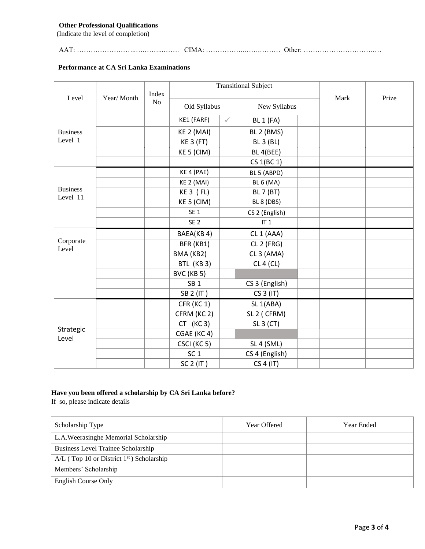### **Other Professional Qualifications**

(Indicate the level of completion)

AAT: ……………………..….……...……. CIMA: ……………..…….……… Other: ………………………….…

#### **Performance at CA Sri Lanka Examinations**

|                             |                                                           |  | <b>Transitional Subject</b> |              |                       | Prize |  |  |
|-----------------------------|-----------------------------------------------------------|--|-----------------------------|--------------|-----------------------|-------|--|--|
| Level                       | Index<br>Year/Month<br>No<br>Old Syllabus<br>New Syllabus |  |                             | Mark         |                       |       |  |  |
|                             |                                                           |  | KE1 (FARF)                  | $\checkmark$ | <b>BL 1 (FA)</b>      |       |  |  |
| <b>Business</b>             |                                                           |  | KE 2 (MAI)                  |              | BL 2 (BMS)            |       |  |  |
| Level 1                     |                                                           |  | <b>KE 3 (FT)</b>            |              | <b>BL 3 (BL)</b>      |       |  |  |
|                             |                                                           |  | KE 5 (CIM)                  |              | BL 4(BEE)             |       |  |  |
|                             |                                                           |  |                             |              | CS 1(BC 1)            |       |  |  |
|                             |                                                           |  | KE 4 (PAE)                  |              | BL 5 (ABPD)           |       |  |  |
|                             |                                                           |  | KE 2 (MAI)                  |              | <b>BL 6 (MA)</b>      |       |  |  |
| <b>Business</b><br>Level 11 |                                                           |  | $KE3$ ( $FL$ )              |              | <b>BL 7 (BT)</b>      |       |  |  |
|                             |                                                           |  | KE 5 (CIM)                  |              | BL 8 (DBS)            |       |  |  |
|                             |                                                           |  | SE <sub>1</sub>             |              | CS 2 (English)        |       |  |  |
|                             |                                                           |  | SE <sub>2</sub>             |              | IT <sub>1</sub>       |       |  |  |
|                             |                                                           |  | BAEA(KB4)                   |              | CL 1 (AAA)            |       |  |  |
| Corporate<br>Level          |                                                           |  | BFR (KB1)                   |              | CL 2 (FRG)            |       |  |  |
|                             |                                                           |  | BMA (KB2)                   |              | CL 3 (AMA)            |       |  |  |
|                             |                                                           |  | BTL (KB 3)                  |              | CL 4 (CL)             |       |  |  |
|                             |                                                           |  | BVC (KB 5)                  |              |                       |       |  |  |
|                             |                                                           |  | SB <sub>1</sub>             |              | CS 3 (English)        |       |  |  |
|                             |                                                           |  | SB 2 (IT)                   |              | CS 3 (IT)             |       |  |  |
|                             |                                                           |  | CFR (KC 1)                  |              | SL <sub>1</sub> (ABA) |       |  |  |
|                             |                                                           |  | CFRM (KC 2)                 |              | SL 2 (CFRM)           |       |  |  |
| Strategic                   |                                                           |  | $CT$ (KC 3)                 |              | SL 3 (CT)             |       |  |  |
| Level                       |                                                           |  | CGAE (KC4)                  |              |                       |       |  |  |
|                             |                                                           |  | CSCI (KC 5)                 |              | SL 4 (SML)            |       |  |  |
|                             |                                                           |  | SC <sub>1</sub>             |              | CS 4 (English)        |       |  |  |
|                             |                                                           |  | SC 2 (IT)                   |              | CS 4 (IT)             |       |  |  |

# **Have you been offered a scholarship by CA Sri Lanka before?**

If so, please indicate details

| Scholarship Type                                        | Year Offered | <b>Year Ended</b> |
|---------------------------------------------------------|--------------|-------------------|
| L.A.Weerasinghe Memorial Scholarship                    |              |                   |
| Business Level Trainee Scholarship                      |              |                   |
| $A/L$ (Top 10 or District 1 <sup>st</sup> ) Scholarship |              |                   |
| Members' Scholarship                                    |              |                   |
| English Course Only                                     |              |                   |